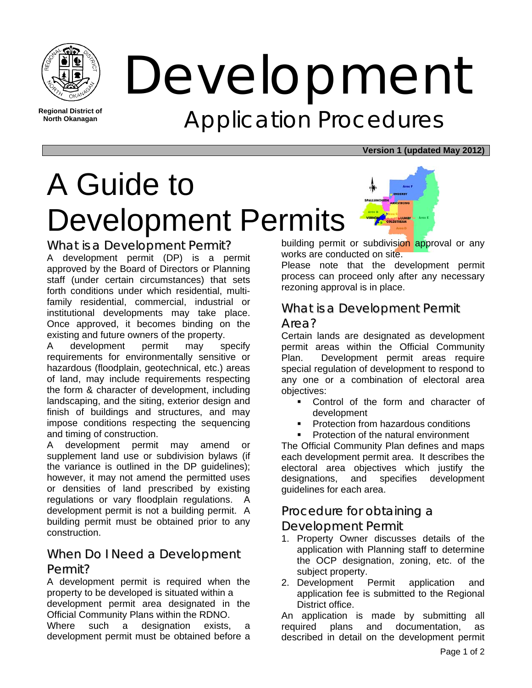

**North Okanagan** 

# Development Application Procedures

**Version 1 (updated May 2012)**

# A Guide to Development Permits

What is a Development Permit? A development permit (DP) is a permit approved by the Board of Directors or Planning staff (under certain circumstances) that sets forth conditions under which residential, multifamily residential, commercial, industrial or institutional developments may take place. Once approved, it becomes binding on the existing and future owners of the property.

A development permit may specify requirements for environmentally sensitive or hazardous (floodplain, geotechnical, etc.) areas of land, may include requirements respecting the form & character of development, including landscaping, and the siting, exterior design and finish of buildings and structures, and may impose conditions respecting the sequencing and timing of construction.

A development permit may amend or supplement land use or subdivision bylaws (if the variance is outlined in the DP guidelines); however, it may not amend the permitted uses or densities of land prescribed by existing regulations or vary floodplain regulations. A development permit is not a building permit. A building permit must be obtained prior to any construction.

## When Do I Need a Development Permit?

A development permit is required when the property to be developed is situated within a development permit area designated in the Official Community Plans within the RDNO. Where such a designation exists, a development permit must be obtained before a

building permit or subdivision approval or any works are conducted on site.

Please note that the development permit process can proceed only after any necessary rezoning approval is in place.

## What is a Development Permit

#### Area?

Certain lands are designated as development permit areas within the Official Community Plan. Development permit areas require special regulation of development to respond to any one or a combination of electoral area objectives:

- Control of the form and character of development
- Protection from hazardous conditions
- Protection of the natural environment

The Official Community Plan defines and maps each development permit area. It describes the electoral area objectives which justify the designations, and specifies development guidelines for each area.

### Procedure for obtaining a

Development Permit

- 1. Property Owner discusses details of the application with Planning staff to determine the OCP designation, zoning, etc. of the subject property.
- 2. Development Permit application and application fee is submitted to the Regional District office.

An application is made by submitting all required plans and documentation, as described in detail on the development permit

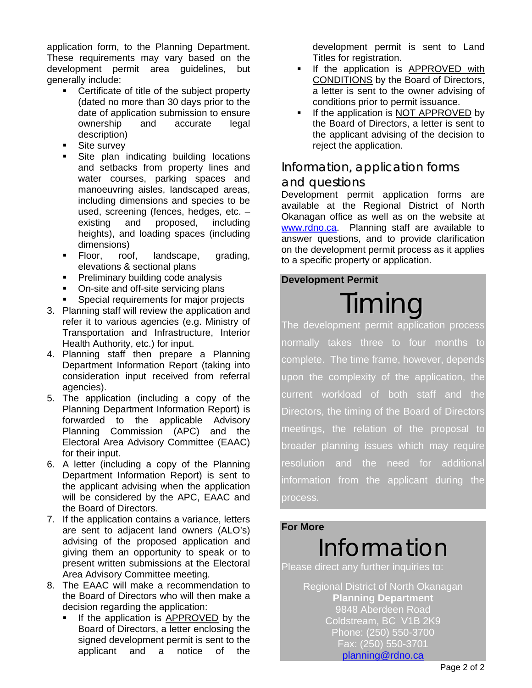application form, to the Planning Department. These requirements may vary based on the development permit area guidelines, but generally include:

- Certificate of title of the subject property (dated no more than 30 days prior to the date of application submission to ensure ownership and accurate legal description)
- Site survey
- Site plan indicating building locations and setbacks from property lines and water courses, parking spaces and manoeuvring aisles, landscaped areas, including dimensions and species to be used, screening (fences, hedges, etc. – existing and proposed, including heights), and loading spaces (including dimensions)
- Floor, roof, landscape, grading, elevations & sectional plans
- **Preliminary building code analysis**
- On-site and off-site servicing plans
- **Special requirements for major projects**
- 3. Planning staff will review the application and refer it to various agencies (e.g. Ministry of Transportation and Infrastructure, Interior Health Authority, etc.) for input.
- 4. Planning staff then prepare a Planning Department Information Report (taking into consideration input received from referral agencies).
- 5. The application (including a copy of the Planning Department Information Report) is forwarded to the applicable Advisory Planning Commission (APC) and the Electoral Area Advisory Committee (EAAC) for their input.
- 6. A letter (including a copy of the Planning Department Information Report) is sent to the applicant advising when the application will be considered by the APC, EAAC and the Board of Directors.
- 7. If the application contains a variance, letters are sent to adjacent land owners (ALO's) advising of the proposed application and giving them an opportunity to speak or to present written submissions at the Electoral Area Advisory Committee meeting.
- 8. The EAAC will make a recommendation to the Board of Directors who will then make a decision regarding the application:
	- If the application is APPROVED by the Board of Directors, a letter enclosing the signed development permit is sent to the applicant and a notice of the

development permit is sent to Land Titles for registration.

- If the application is APPROVED with CONDITIONS by the Board of Directors, a letter is sent to the owner advising of conditions prior to permit issuance.
- If the application is NOT APPROVED by the Board of Directors, a letter is sent to the applicant advising of the decision to reject the application.

## Information, application forms

#### and questions

Development permit application forms are available at the Regional District of North Okanagan office as well as on the website at www.rdno.ca. Planning staff are available to answer questions, and to provide clarification on the development permit process as it applies to a specific property or application.

#### **Development Permit**

# Timing

The development permit application process normally takes three to four months complete. The time frame, however, depends upon the complexity of the application, the current workload of both staff and the Directors, the timing of the Board of Directors meetings, the relation of the proposal to broader planning issues which may require resolution and the need for additional information from the applicant during the process.

#### **For More**

# Information

Please direct any further inquiries to:

Regional District of North Okanagan **Planning Department**  9848 Aberdeen Road Coldstream, BC V1B 2K9 Phone: (250) 550-3700 Fax: (250) 550-3701 planning@rdno.ca